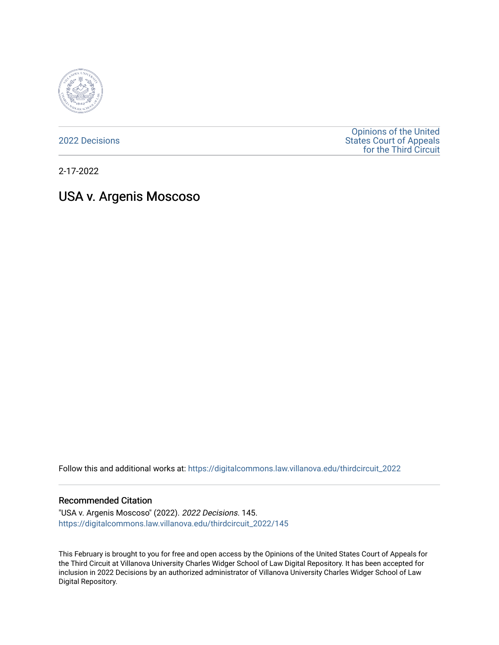

[2022 Decisions](https://digitalcommons.law.villanova.edu/thirdcircuit_2022)

[Opinions of the United](https://digitalcommons.law.villanova.edu/thirdcircuit)  [States Court of Appeals](https://digitalcommons.law.villanova.edu/thirdcircuit)  [for the Third Circuit](https://digitalcommons.law.villanova.edu/thirdcircuit) 

2-17-2022

# USA v. Argenis Moscoso

Follow this and additional works at: [https://digitalcommons.law.villanova.edu/thirdcircuit\\_2022](https://digitalcommons.law.villanova.edu/thirdcircuit_2022?utm_source=digitalcommons.law.villanova.edu%2Fthirdcircuit_2022%2F145&utm_medium=PDF&utm_campaign=PDFCoverPages) 

#### Recommended Citation

"USA v. Argenis Moscoso" (2022). 2022 Decisions. 145. [https://digitalcommons.law.villanova.edu/thirdcircuit\\_2022/145](https://digitalcommons.law.villanova.edu/thirdcircuit_2022/145?utm_source=digitalcommons.law.villanova.edu%2Fthirdcircuit_2022%2F145&utm_medium=PDF&utm_campaign=PDFCoverPages)

This February is brought to you for free and open access by the Opinions of the United States Court of Appeals for the Third Circuit at Villanova University Charles Widger School of Law Digital Repository. It has been accepted for inclusion in 2022 Decisions by an authorized administrator of Villanova University Charles Widger School of Law Digital Repository.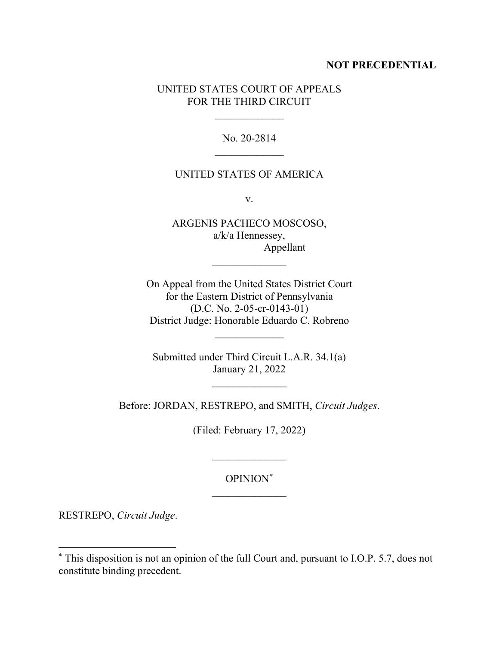# **NOT PRECEDENTIAL**

# UNITED STATES COURT OF APPEALS FOR THE THIRD CIRCUIT

 $\frac{1}{2}$ 

No. 20-2814  $\overline{\phantom{a}}$ 

# UNITED STATES OF AMERICA

v.

ARGENIS PACHECO MOSCOSO, a/k/a Hennessey, Appellant

 $\frac{1}{2}$ 

On Appeal from the United States District Court for the Eastern District of Pennsylvania (D.C. No. 2-05-cr-0143-01) District Judge: Honorable Eduardo C. Robreno

 $\frac{1}{2}$ 

Submitted under Third Circuit L.A.R. 34.1(a) January 21, 2022

 $\overline{\phantom{a}}$  , where  $\overline{\phantom{a}}$ 

Before: JORDAN, RESTREPO, and SMITH, *Circuit Judges*.

(Filed: February 17, 2022)

# OPINION[\\*](#page-1-0)  $\frac{1}{2}$

 $\frac{1}{2}$ 

RESTREPO, *Circuit Judge*.

<span id="page-1-0"></span><sup>\*</sup> This disposition is not an opinion of the full Court and, pursuant to I.O.P. 5.7, does not constitute binding precedent.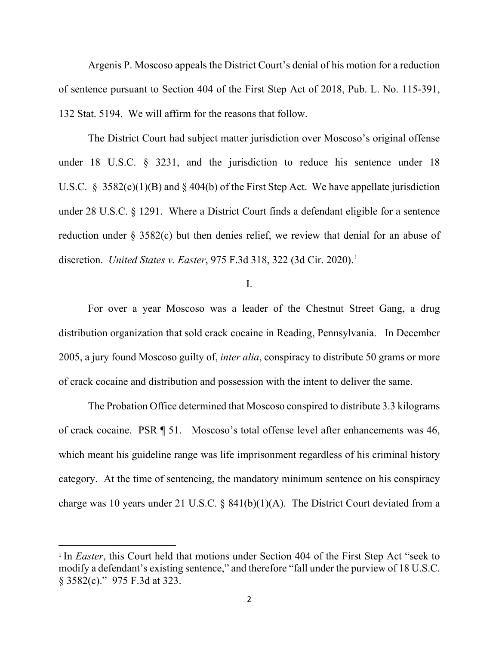Argenis P. Moscoso appeals the District Court's denial of his motion for a reduction of sentence pursuant to Section 404 of the First Step Act of 2018, Pub. L. No. 115-391, 132 Stat. 5194. We will affirm for the reasons that follow.

The District Court had subject matter jurisdiction over Moscoso's original offense under 18 U.S.C. § 3231, and the jurisdiction to reduce his sentence under 18 U.S.C. § 3582(c)(1)(B) and § 404(b) of the First Step Act. We have appellate jurisdiction under 28 U.S.C. § 1291. Where a District Court finds a defendant eligible for a sentence reduction under § 3582(c) but then denies relief, we review that denial for an abuse of discretion. *United States v. Easter*, 975 F.3d 318, 322 (3d Cir. 2020).[1](#page-2-0)

## I.

For over a year Moscoso was a leader of the Chestnut Street Gang, a drug distribution organization that sold crack cocaine in Reading, Pennsylvania. In December 2005, a jury found Moscoso guilty of, *inter alia*, conspiracy to distribute 50 grams or more of crack cocaine and distribution and possession with the intent to deliver the same.

The Probation Office determined that Moscoso conspired to distribute 3.3 kilograms of crack cocaine. PSR ¶ 51. Moscoso's total offense level after enhancements was 46, which meant his guideline range was life imprisonment regardless of his criminal history category. At the time of sentencing, the mandatory minimum sentence on his conspiracy charge was 10 years under 21 U.S.C. §  $841(b)(1)(A)$ . The District Court deviated from a

<span id="page-2-0"></span><sup>&</sup>lt;sup>1</sup> In *Easter*, this Court held that motions under Section 404 of the First Step Act "seek to modify a defendant's existing sentence," and therefore "fall under the purview of 18 U.S.C. § 3582(c)." 975 F.3d at 323.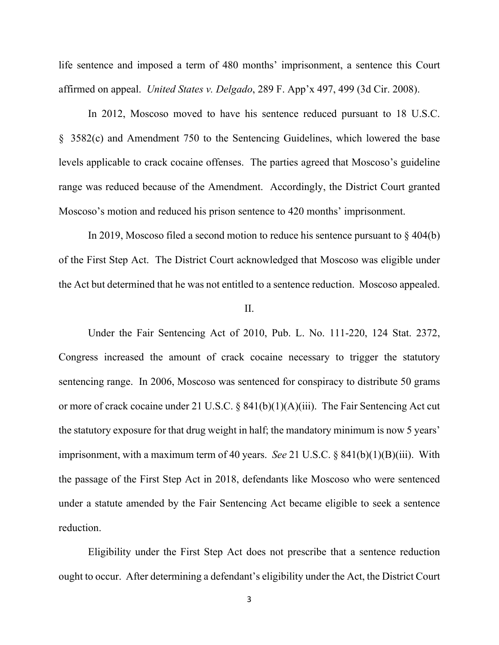life sentence and imposed a term of 480 months' imprisonment, a sentence this Court affirmed on appeal. *United States v. Delgado*, 289 F. App'x 497, 499 (3d Cir. 2008).

In 2012, Moscoso moved to have his sentence reduced pursuant to 18 U.S.C. § 3582(c) and Amendment 750 to the Sentencing Guidelines, which lowered the base levels applicable to crack cocaine offenses. The parties agreed that Moscoso's guideline range was reduced because of the Amendment. Accordingly, the District Court granted Moscoso's motion and reduced his prison sentence to 420 months' imprisonment.

In 2019, Moscoso filed a second motion to reduce his sentence pursuant to § 404(b) of the First Step Act. The District Court acknowledged that Moscoso was eligible under the Act but determined that he was not entitled to a sentence reduction. Moscoso appealed.

#### II.

Under the Fair Sentencing Act of 2010, Pub. L. No. 111-220, 124 Stat. 2372, Congress increased the amount of crack cocaine necessary to trigger the statutory sentencing range. In 2006, Moscoso was sentenced for conspiracy to distribute 50 grams or more of crack cocaine under 21 U.S.C. § 841(b)(1)(A)(iii). The Fair Sentencing Act cut the statutory exposure for that drug weight in half; the mandatory minimum is now 5 years' imprisonment, with a maximum term of 40 years. *See* 21 U.S.C. § 841(b)(1)(B)(iii). With the passage of the First Step Act in 2018, defendants like Moscoso who were sentenced under a statute amended by the Fair Sentencing Act became eligible to seek a sentence reduction.

Eligibility under the First Step Act does not prescribe that a sentence reduction ought to occur. After determining a defendant's eligibility under the Act, the District Court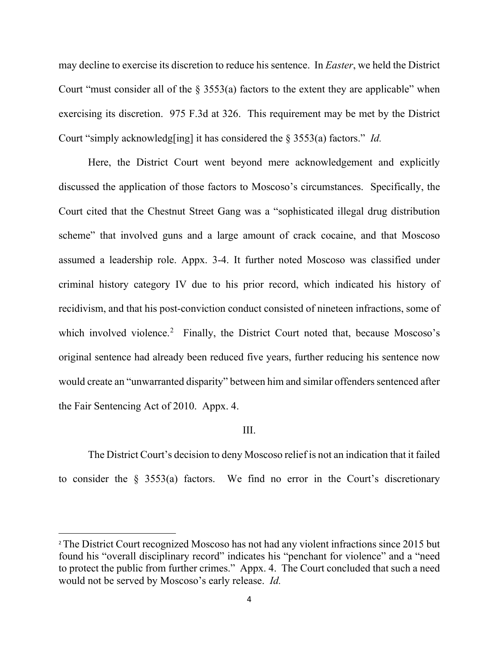may decline to exercise its discretion to reduce his sentence. In *Easter*, we held the District Court "must consider all of the  $\S$  3553(a) factors to the extent they are applicable" when exercising its discretion. 975 F.3d at 326. This requirement may be met by the District Court "simply acknowledg[ing] it has considered the § 3553(a) factors." *Id.*

Here, the District Court went beyond mere acknowledgement and explicitly discussed the application of those factors to Moscoso's circumstances. Specifically, the Court cited that the Chestnut Street Gang was a "sophisticated illegal drug distribution scheme" that involved guns and a large amount of crack cocaine, and that Moscoso assumed a leadership role. Appx. 3-4. It further noted Moscoso was classified under criminal history category IV due to his prior record, which indicated his history of recidivism, and that his post-conviction conduct consisted of nineteen infractions, some of which involved violence.<sup>[2](#page-4-0)</sup> Finally, the District Court noted that, because Moscoso's original sentence had already been reduced five years, further reducing his sentence now would create an "unwarranted disparity" between him and similar offenders sentenced after the Fair Sentencing Act of 2010. Appx. 4.

#### III.

The District Court's decision to deny Moscoso relief is not an indication that it failed to consider the  $\S$  3553(a) factors. We find no error in the Court's discretionary

<span id="page-4-0"></span><sup>&</sup>lt;sup>2</sup> The District Court recognized Moscoso has not had any violent infractions since 2015 but found his "overall disciplinary record" indicates his "penchant for violence" and a "need to protect the public from further crimes." Appx. 4. The Court concluded that such a need would not be served by Moscoso's early release. *Id.*